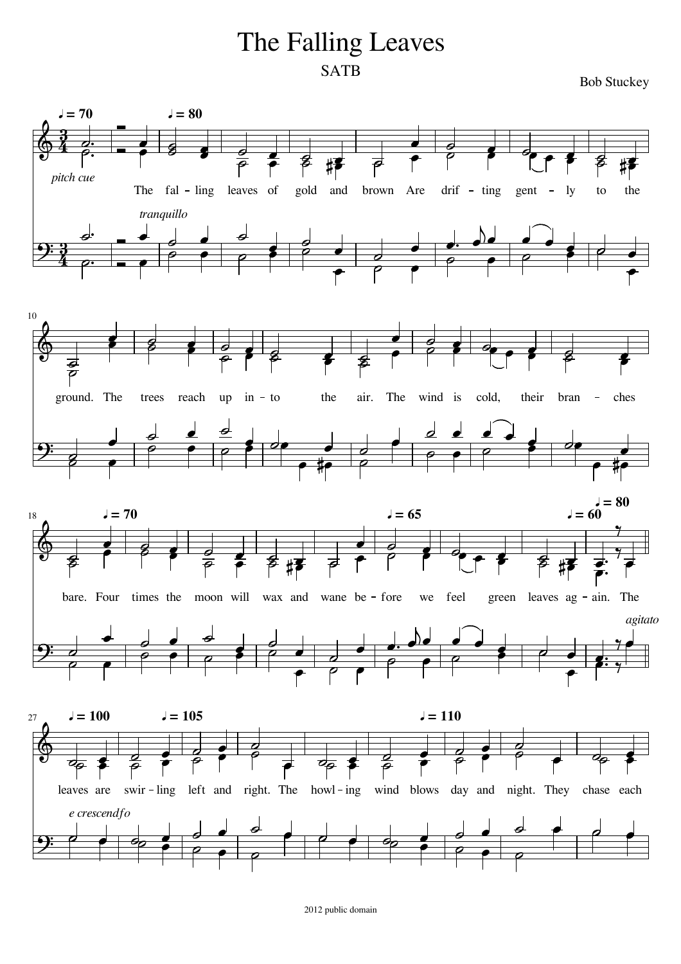## The Falling Leaves **SATB**

**Bob Stuckey** 

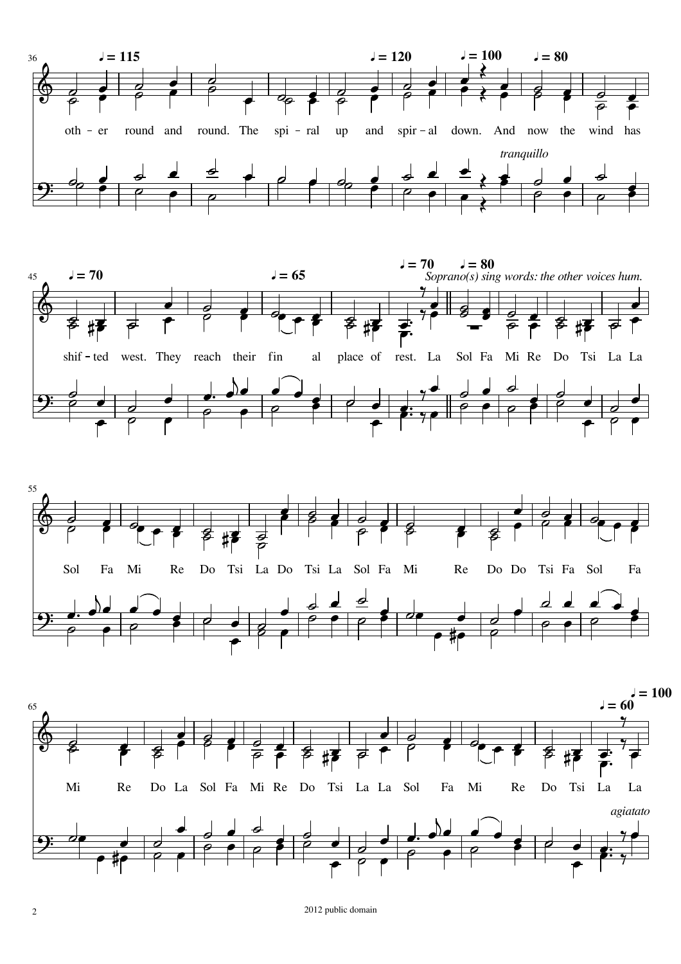







2 2012 public domain